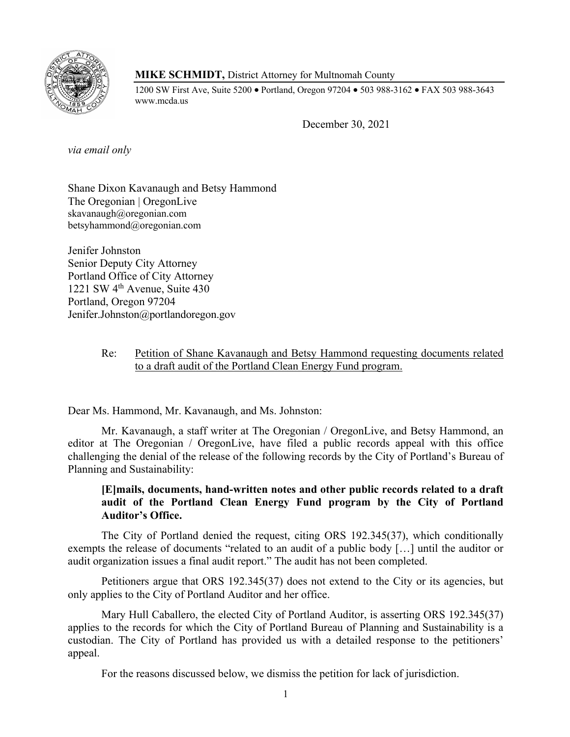

**MIKE SCHMIDT,** District Attorney for Multnomah County

1200 SW First Ave, Suite 5200 • Portland, Oregon 97204 • 503 988-3162 • FAX 503 988-3643 www.mcda.us

December 30, 2021

*via email only*

Shane Dixon Kavanaugh and Betsy Hammond The Oregonian | OregonLive skavanaugh@oregonian.com betsyhammond@oregonian.com

Jenifer Johnston Senior Deputy City Attorney Portland Office of City Attorney 1221 SW 4th Avenue, Suite 430 Portland, Oregon 97204 Jenifer.Johnston@portlandoregon.gov

## Re: Petition of Shane Kavanaugh and Betsy Hammond requesting documents related to a draft audit of the Portland Clean Energy Fund program.

Dear Ms. Hammond, Mr. Kavanaugh, and Ms. Johnston:

Mr. Kavanaugh, a staff writer at The Oregonian / OregonLive, and Betsy Hammond, an editor at The Oregonian / OregonLive, have filed a public records appeal with this office challenging the denial of the release of the following records by the City of Portland's Bureau of Planning and Sustainability:

# **[E]mails, documents, hand-written notes and other public records related to a draft audit of the Portland Clean Energy Fund program by the City of Portland Auditor's Office.**

The City of Portland denied the request, citing ORS 192.345(37), which conditionally exempts the release of documents "related to an audit of a public body […] until the auditor or audit organization issues a final audit report." The audit has not been completed.

Petitioners argue that ORS 192.345(37) does not extend to the City or its agencies, but only applies to the City of Portland Auditor and her office.

Mary Hull Caballero, the elected City of Portland Auditor, is asserting ORS 192.345(37) applies to the records for which the City of Portland Bureau of Planning and Sustainability is a custodian. The City of Portland has provided us with a detailed response to the petitioners' appeal.

For the reasons discussed below, we dismiss the petition for lack of jurisdiction.